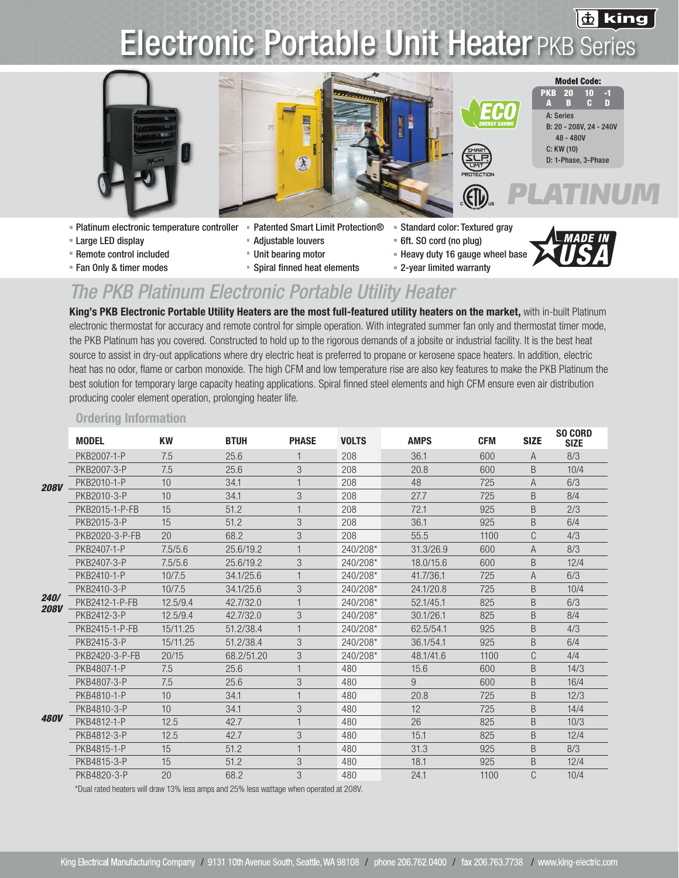### 齿 king

## Electronic Portable Unit Heater PKB Series





- Platinum electronic temperature controller Patented Smart Limit Protection® Standard color: Textured gray
- **Example Let Large LED display Adjustable louvers** Adjustable louvers **Adjustable louvers 6ft. SO cord (no plug)**
- Remote control included Theory of the Unit bearing motor Theory duty 16 gauge wheel base
- 
- 
- 
- 
- Fan Only & timer modes Spiral finned heat elements 2-year limited warranty
- 





A: Series

PKB A 20 B

> B: 20 - 208V, 24 - 240V 48 - 480V C: KW (10) D: 1-Phase, 3-Phase

**Model Code:** 

*PLATINUM*

10 C -1 D

## *The PKB Platinum Electronic Portable Utility Heater*

King's PKB Electronic Portable Utility Heaters are the most full-featured utility heaters on the market, with in-built Platinum electronic thermostat for accuracy and remote control for simple operation. With integrated summer fan only and thermostat timer mode, the PKB Platinum has you covered. Constructed to hold up to the rigorous demands of a jobsite or industrial facility. It is the best heat source to assist in dry-out applications where dry electric heat is preferred to propane or kerosene space heaters. In addition, electric heat has no odor, flame or carbon monoxide. The high CFM and low temperature rise are also key features to make the PKB Platinum the best solution for temporary large capacity heating applications. Spiral finned steel elements and high CFM ensure even air distribution producing cooler element operation, prolonging heater life.

### Ordering Information

|                     | <b>MODEL</b>   | <b>KW</b> | <b>BTUH</b> | <b>PHASE</b> | <b>VOLTS</b> | <b>AMPS</b> | <b>CFM</b> | <b>SIZE</b> | <b>SO CORD</b><br><b>SIZE</b> |
|---------------------|----------------|-----------|-------------|--------------|--------------|-------------|------------|-------------|-------------------------------|
| <b>208V</b>         | PKB2007-1-P    | 7.5       | 25.6        |              | 208          | 36.1        | 600        | A           | 8/3                           |
|                     | PKB2007-3-P    | 7.5       | 25.6        | 3            | 208          | 20.8        | 600        | B           | 10/4                          |
|                     | PKB2010-1-P    | 10        | 34.1        |              | 208          | 48          | 725        | A           | 6/3                           |
|                     | PKB2010-3-P    | 10        | 34.1        | 3            | 208          | 27.7        | 725        | B           | 8/4                           |
|                     | PKB2015-1-P-FB | 15        | 51.2        |              | 208          | 72.1        | 925        | B           | 2/3                           |
|                     | PKB2015-3-P    | 15        | 51.2        | 3            | 208          | 36.1        | 925        | B           | 6/4                           |
|                     | PKB2020-3-P-FB | 20        | 68.2        | 3            | 208          | 55.5        | 1100       | C           | 4/3                           |
| 240/<br><b>208V</b> | PKB2407-1-P    | 7.5/5.6   | 25.6/19.2   |              | 240/208*     | 31.3/26.9   | 600        | A           | 8/3                           |
|                     | PKB2407-3-P    | 7.5/5.6   | 25.6/19.2   | 3            | 240/208*     | 18.0/15.6   | 600        | B           | 12/4                          |
|                     | PKB2410-1-P    | 10/7.5    | 34.1/25.6   |              | 240/208*     | 41.7/36.1   | 725        | A           | 6/3                           |
|                     | PKB2410-3-P    | 10/7.5    | 34.1/25.6   | 3            | 240/208*     | 24.1/20.8   | 725        | B           | 10/4                          |
|                     | PKB2412-1-P-FB | 12.5/9.4  | 42.7/32.0   | $\mathbf{1}$ | 240/208*     | 52.1/45.1   | 825        | B           | 6/3                           |
|                     | PKB2412-3-P    | 12.5/9.4  | 42.7/32.0   | 3            | 240/208*     | 30.1/26.1   | 825        | B           | 8/4                           |
|                     | PKB2415-1-P-FB | 15/11.25  | 51.2/38.4   | 1            | 240/208*     | 62.5/54.1   | 925        | B           | 4/3                           |
|                     | PKB2415-3-P    | 15/11.25  | 51.2/38.4   | 3            | 240/208*     | 36.1/54.1   | 925        | B           | 6/4                           |
|                     | PKB2420-3-P-FB | 20/15     | 68.2/51.20  | 3            | 240/208*     | 48.1/41.6   | 1100       | C           | 4/4                           |
| <b>480V</b>         | PKB4807-1-P    | 7.5       | 25.6        | $\mathbf{1}$ | 480          | 15.6        | 600        | B           | 14/3                          |
|                     | PKB4807-3-P    | 7.5       | 25.6        | 3            | 480          | 9           | 600        | B           | 16/4                          |
|                     | PKB4810-1-P    | 10        | 34.1        |              | 480          | 20.8        | 725        | B           | 12/3                          |
|                     | PKB4810-3-P    | 10        | 34.1        | 3            | 480          | 12          | 725        | B           | 14/4                          |
|                     | PKB4812-1-P    | 12.5      | 42.7        | 1            | 480          | 26          | 825        | B           | 10/3                          |
|                     | PKB4812-3-P    | 12.5      | 42.7        | 3            | 480          | 15.1        | 825        | B           | 12/4                          |
|                     | PKB4815-1-P    | 15        | 51.2        | 1            | 480          | 31.3        | 925        | B           | 8/3                           |
|                     | PKB4815-3-P    | 15        | 51.2        | 3            | 480          | 18.1        | 925        | B           | 12/4                          |
|                     | PKB4820-3-P    | 20        | 68.2        | 3            | 480          | 24.1        | 1100       | C           | 10/4                          |

\*Dual rated heaters will draw 13% less amps and 25% less wattage when operated at 208V.